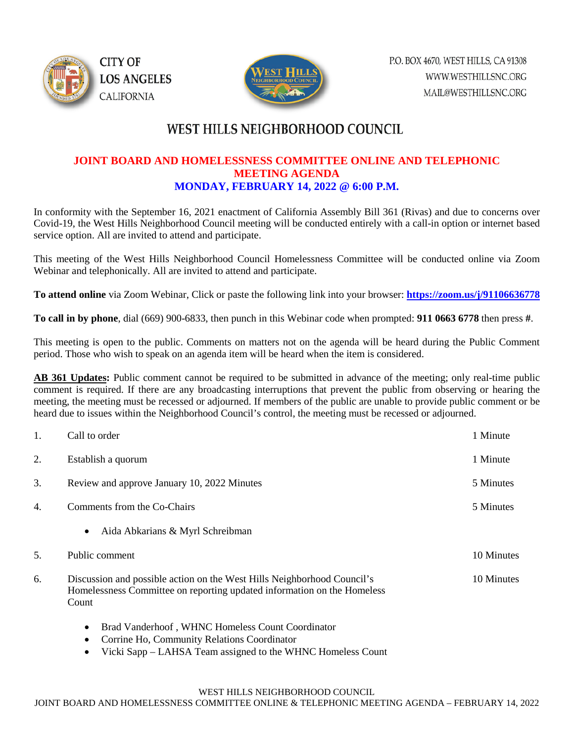



## **WEST HILLS NEIGHBORHOOD COUNCIL**

## **JOINT BOARD AND HOMELESSNESS COMMITTEE ONLINE AND TELEPHONIC MEETING AGENDA MONDAY, FEBRUARY 14, 2022 @ 6:00 P.M.**

In conformity with the September 16, 2021 enactment of California Assembly Bill 361 (Rivas) and due to concerns over Covid-19, the West Hills Neighborhood Council meeting will be conducted entirely with a call-in option or internet based service option. All are invited to attend and participate.

This meeting of the West Hills Neighborhood Council Homelessness Committee will be conducted online via Zoom Webinar and telephonically. All are invited to attend and participate.

**To attend online** via Zoom Webinar, Click or paste the following link into your browser: **<https://zoom.us/j/91106636778>**

**To call in by phone**, dial (669) 900-6833, then punch in this Webinar code when prompted: **911 0663 6778** then press **#**.

This meeting is open to the public. Comments on matters not on the agenda will be heard during the Public Comment period. Those who wish to speak on an agenda item will be heard when the item is considered.

**AB 361 Updates:** Public comment cannot be required to be submitted in advance of the meeting; only real-time public comment is required. If there are any broadcasting interruptions that prevent the public from observing or hearing the meeting, the meeting must be recessed or adjourned. If members of the public are unable to provide public comment or be heard due to issues within the Neighborhood Council's control, the meeting must be recessed or adjourned.

| 1. | Call to order                                                                                                                                               | 1 Minute   |
|----|-------------------------------------------------------------------------------------------------------------------------------------------------------------|------------|
| 2. | Establish a quorum                                                                                                                                          | 1 Minute   |
| 3. | Review and approve January 10, 2022 Minutes                                                                                                                 | 5 Minutes  |
| 4. | Comments from the Co-Chairs                                                                                                                                 | 5 Minutes  |
|    | Aida Abkarians & Myrl Schreibman<br>$\bullet$                                                                                                               |            |
| 5. | Public comment                                                                                                                                              | 10 Minutes |
| 6. | Discussion and possible action on the West Hills Neighborhood Council's<br>Homelessness Committee on reporting updated information on the Homeless<br>Count | 10 Minutes |

- Brad Vanderhoof , WHNC Homeless Count Coordinator
- Corrine Ho, Community Relations Coordinator
- Vicki Sapp LAHSA Team assigned to the WHNC Homeless Count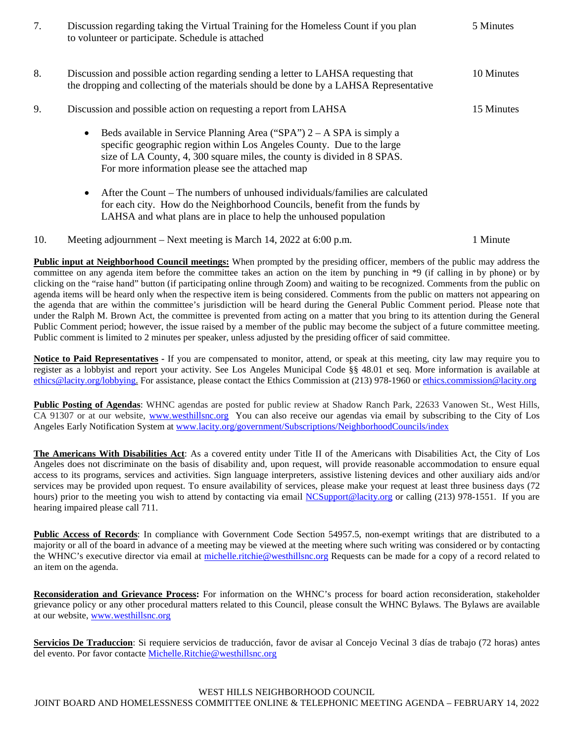| 7.  | Discussion regarding taking the Virtual Training for the Homeless Count if you plan<br>to volunteer or participate. Schedule is attached                                                                                                                                                       | 5 Minutes  |
|-----|------------------------------------------------------------------------------------------------------------------------------------------------------------------------------------------------------------------------------------------------------------------------------------------------|------------|
| 8.  | Discussion and possible action regarding sending a letter to LAHSA requesting that<br>the dropping and collecting of the materials should be done by a LAHSA Representative                                                                                                                    |            |
| 9.  | Discussion and possible action on requesting a report from LAHSA                                                                                                                                                                                                                               | 15 Minutes |
|     | Beds available in Service Planning Area ("SPA") $2 - A$ SPA is simply a<br>$\bullet$<br>specific geographic region within Los Angeles County. Due to the large<br>size of LA County, 4, 300 square miles, the county is divided in 8 SPAS.<br>For more information please see the attached map |            |
|     | After the Count – The numbers of unhoused individuals/families are calculated<br>$\bullet$<br>for each city. How do the Neighborhood Councils, benefit from the funds by<br>LAHSA and what plans are in place to help the unhoused population                                                  |            |
| 10. | Meeting adjournment – Next meeting is March 14, 2022 at 6:00 p.m.                                                                                                                                                                                                                              | 1 Minute   |

**Public input at Neighborhood Council meetings:** When prompted by the presiding officer, members of the public may address the committee on any agenda item before the committee takes an action on the item by punching in \*9 (if calling in by phone) or by clicking on the "raise hand" button (if participating online through Zoom) and waiting to be recognized. Comments from the public on agenda items will be heard only when the respective item is being considered. Comments from the public on matters not appearing on the agenda that are within the committee's jurisdiction will be heard during the General Public Comment period. Please note that under the Ralph M. Brown Act, the committee is prevented from acting on a matter that you bring to its attention during the General Public Comment period; however, the issue raised by a member of the public may become the subject of a future committee meeting. Public comment is limited to 2 minutes per speaker, unless adjusted by the presiding officer of said committee.

**Notice to Paid Representatives -** If you are compensated to monitor, attend, or speak at this meeting, city law may require you to register as a lobbyist and report your activity. See Los Angeles Municipal Code §§ 48.01 et seq. More information is available at [ethics@lacity.org/lobbying.](mailto:) For assistance, please contact the Ethics Commission at (213) 978-1960 or [ethics.commission@lacity.org](mailto:)

**Public Posting of Agendas**: WHNC agendas are posted for public review at Shadow Ranch Park, 22633 Vanowen St., West Hills, CA 91307 or at our website, [www.westhillsnc.org](http://www.westhillsnc.org/) You can also receive our agendas via email by subscribing to the City of Los Angeles Early Notification System at [www.lacity.org/government/Subscriptions/NeighborhoodCouncils/index](http://www.lacity.org/government/Subscriptions/NeighborhoodCouncils/index)

**The Americans With Disabilities Act**: As a covered entity under Title II of the Americans with Disabilities Act, the City of Los Angeles does not discriminate on the basis of disability and, upon request, will provide reasonable accommodation to ensure equal access to its programs, services and activities. Sign language interpreters, assistive listening devices and other auxiliary aids and/or services may be provided upon request. To ensure availability of services, please make your request at least three business days (72 hours) prior to the meeting you wish to attend by contacting via email [NCSupport@lacity.org](mailto:NCSupport@lacity.org) or calling (213) 978-1551. If you are hearing impaired please call 711.

**Public Access of Records**: In compliance with Government Code Section 54957.5, non-exempt writings that are distributed to a majority or all of the board in advance of a meeting may be viewed at the meeting where such writing was considered or by contacting the WHNC's executive director via email at [michelle.ritchie@westhillsnc.org](mailto:michelle.ritchie@westhillsnc.org) Requests can be made for a copy of a record related to an item on the agenda.

**Reconsideration and Grievance Process:** For information on the WHNC's process for board action reconsideration, stakeholder grievance policy or any other procedural matters related to this Council, please consult the WHNC Bylaws. The Bylaws are available at our website, [www.westhillsnc.org](http://www.westhillsnc.org/)

**Servicios De Traduccion**: Si requiere servicios de traducción, favor de avisar al Concejo Vecinal 3 días de trabajo (72 horas) antes del evento. Por favor contacte [Michelle.Ritchie@westhillsnc.org](mailto:Michelle.Ritchie@westhillsnc.org)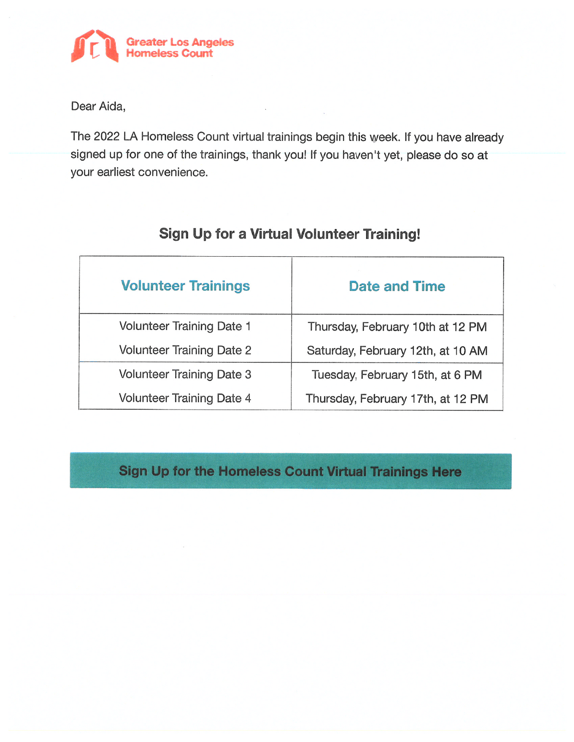

Dear Aida,

The 2022 LA Homeless Count virtual trainings begin this week. If you have already signed up for one of the trainings, thank you! If you haven't yet, please do so at your earliest convenience.

| <b>Volunteer Trainings</b>       | <b>Date and Time</b>              |
|----------------------------------|-----------------------------------|
| Volunteer Training Date 1        | Thursday, February 10th at 12 PM  |
| <b>Volunteer Training Date 2</b> | Saturday, February 12th, at 10 AM |
| Volunteer Training Date 3        | Tuesday, February 15th, at 6 PM   |
| Volunteer Training Date 4        | Thursday, February 17th, at 12 PM |

## Sign Up for a Virtual Volunteer Training!

## Sign Up for the Homeless Count Virtual Trainings Here